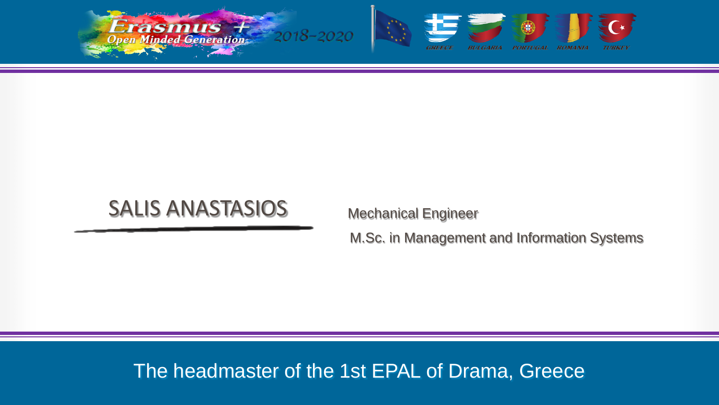



## SALIS ANASTASIOS

Mechanical Engineer

M.Sc. in Management and Information Systems

## i<br>I The headmaster of the 1st EPAL of Drama, Greece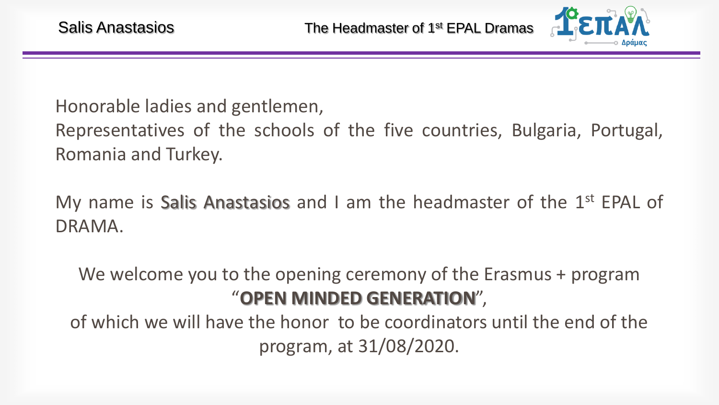

Honorable ladies and gentlemen,

Representatives of the schools of the five countries, Bulgaria, Portugal, Romania and Turkey.

My name is Salis Anastasios and I am the headmaster of the  $1<sup>st</sup>$  EPAL of DRAMA.

We welcome you to the opening ceremony of the Erasmus + program "**OPEN MINDED GENERATION**",

of which we will have the honor to be coordinators until the end of the program, at 31/08/2020.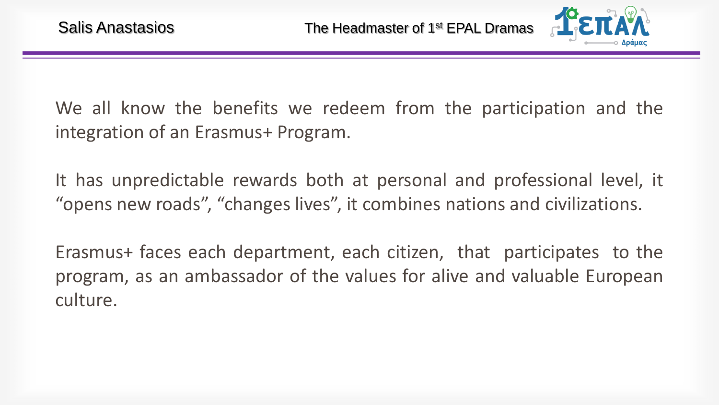

We all know the benefits we redeem from the participation and the integration of an Erasmus+ Program.

It has unpredictable rewards both at personal and professional level, it "opens new roads", "changes lives", it combines nations and civilizations.

Erasmus+ faces each department, each citizen, that participates to the program, as an ambassador of the values for alive and valuable European culture.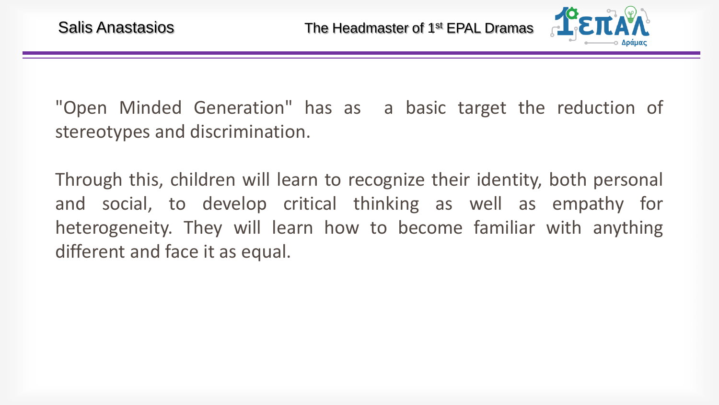

"Open Minded Generation" has as a basic target the reduction of stereotypes and discrimination.

Through this, children will learn to recognize their identity, both personal and social, to develop critical thinking as well as empathy for heterogeneity. They will learn how to become familiar with anything different and face it as equal.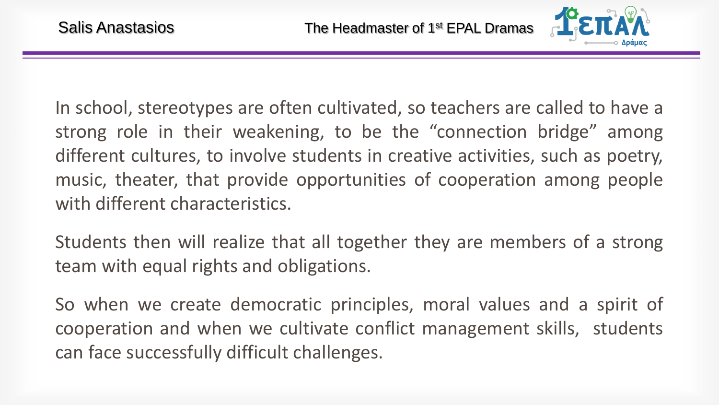

In school, stereotypes are often cultivated, so teachers are called to have a strong role in their weakening, to be the "connection bridge" among different cultures, to involve students in creative activities, such as poetry, music, theater, that provide opportunities of cooperation among people with different characteristics.

Students then will realize that all together they are members of a strong team with equal rights and obligations.

So when we create democratic principles, moral values and a spirit of cooperation and when we cultivate conflict management skills, students can face successfully difficult challenges.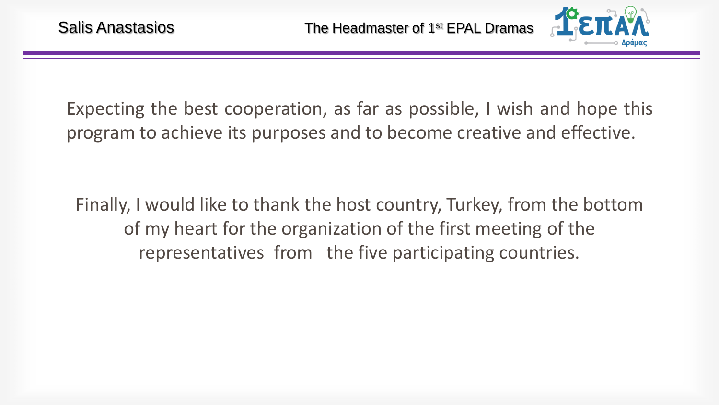

Expecting the best cooperation, as far as possible, I wish and hope this program to achieve its purposes and to become creative and effective.

Finally, I would like to thank the host country, Turkey, from the bottom of my heart for the organization of the first meeting of the representatives from the five participating countries.